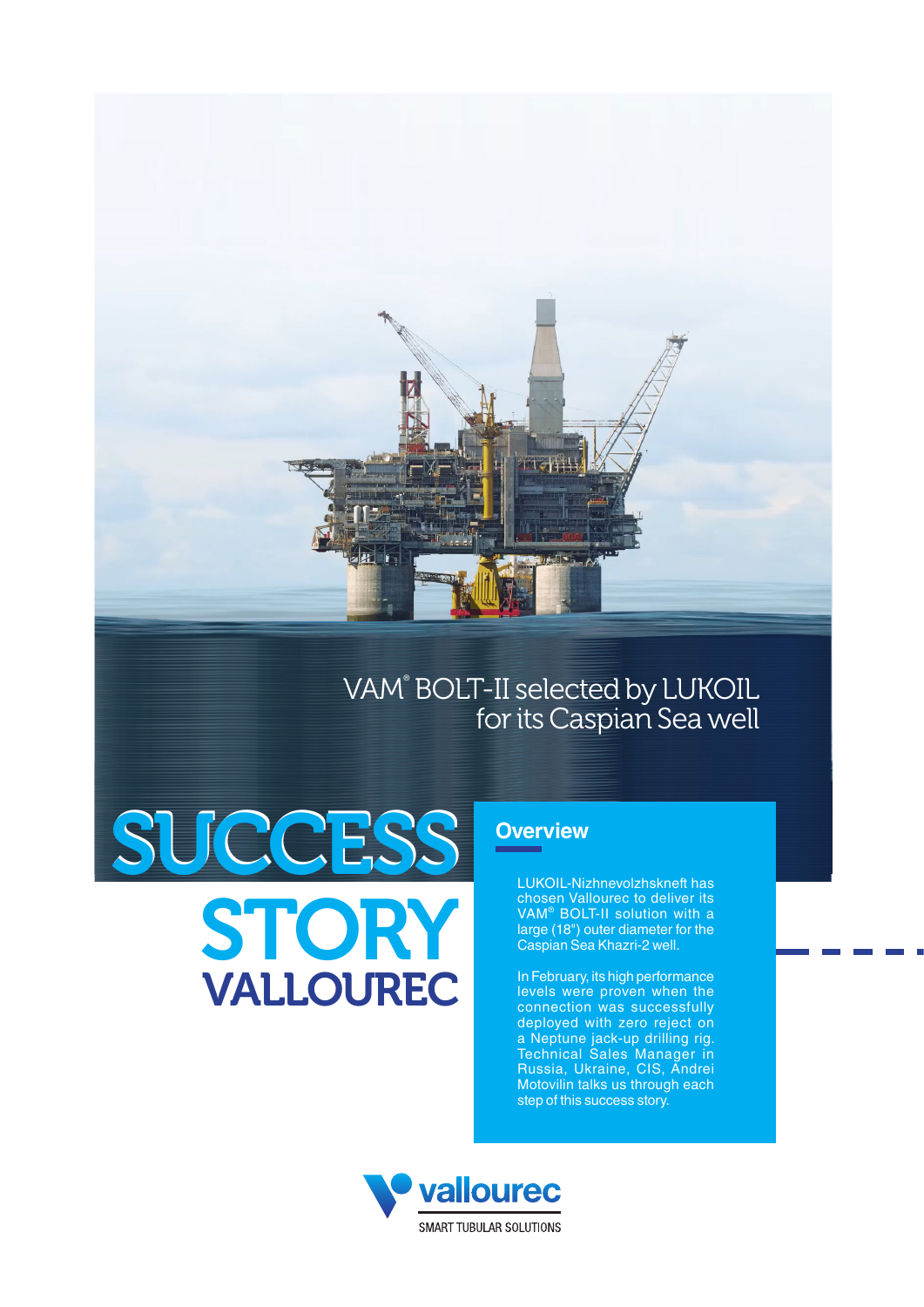

## VAM® BOLT-II selected by LUKOIL for its Caspian Sea well

# SUCCESS **STORY**

VALLOUREC

### **Overview**

LUKOIL-Nizhnevolzhskneft has chosen Vallourec to deliver its VAM® BOLT-II solution with a large (18") outer diameter for the Caspian Sea Khazri-2 well.

In February, its high performance levels were proven when the connection was successfully deployed with zero reject on a Neptune jack-up drilling rig. Technical Sales Manager in Russia, Ukraine, CIS, Andrei Motovilin talks us through each step of this success story.